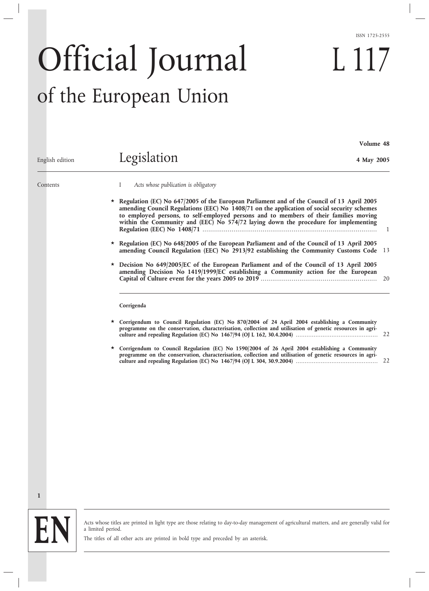### ISSN 1725-2555

L 117

# Official Journal of the European Union

I *Acts whose publication is obligatory* Regulation (EC) No 647/2005 of the European Parliament and of the Council of 13 April 2005 **amending Council Regulations (EEC) No 1408/71 on the application of social security schemes to employed persons, to self-employed persons and to members of their families moving within the Community and (EEC) No 574/72 laying down the procedure for implementing Regulation (EEC) No 1408/71** .......................................................................................... 1 ★ **Regulation (EC) No 648/2005 of the European Parliament and of the Council of 13 April 2005 amending Council Regulation (EEC) No 2913/92 establishing the Community Customs Code** 13 Decision No 649/2005/EC of the European Parliament and of the Council of 13 April 2005 **amending Decision No 1419/1999/EC establishing a Community action for the European Capital of Culture event for the years 2005 to 2019** ............................................................ 20 **Corrigenda** Corrigendum to Council Regulation (EC) No 870/2004 of 24 April 2004 establishing a Community **programme on the conservation, characterisation, collection and utilisation of genetic resources in agriculture and repealing Regulation (EC) No 1467/94 (OJ L 162, 30.4.2004)** .............................................. 22 ★ **Corrigendum to Council Regulation (EC) No 1590/2004 of 26 April 2004 establishing a Community programme on the conservation, characterisation, collection and utilisation of genetic resources in agriculture and repealing Regulation (EC) No 1467/94 (OJ L 304, 30.9.2004)** .............................................. 22 English edition Contents Legislation **Volume 48 4 May 2005**

**1**

**EN**

Acts whose titles are printed in light type are those relating to day-to-day management of agricultural matters, and are generally valid for a limited period.

The titles of all other acts are printed in bold type and preceded by an asterisk.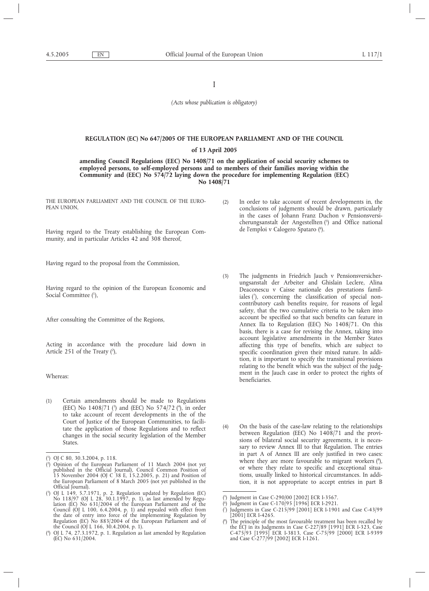I

*(Acts whose publication is obligatory)*

# **REGULATION (EC) No 647/2005 OF THE EUROPEAN PARLIAMENT AND OF THE COUNCIL of 13 April 2005**

**amending Council Regulations (EEC) No 1408/71 on the application of social security schemes to employed persons, to self-employed persons and to members of their families moving within the Community and (EEC) No 574/72 laying down the procedure for implementing Regulation (EEC) No 1408/71**

THE EUROPEAN PARLIAMENT AND THE COUNCIL OF THE EURO-PEAN UNION,

Having regard to the Treaty establishing the European Community, and in particular Articles 42 and 308 thereof,

Having regard to the proposal from the Commission,

Having regard to the opinion of the European Economic and Social Committee (1),

After consulting the Committee of the Regions,

Acting in accordance with the procedure laid down in Article 251 of the Treaty (2),

Whereas:

(1) Certain amendments should be made to Regulations (EEC) No  $1408/71$  (<sup>3</sup>) and (EEC) No  $574/72$  (<sup>4</sup>), in order to take account of recent developments in the of the Court of Justice of the European Communities, to facilitate the application of those Regulations and to reflect changes in the social security legislation of the Member States.

- (2) In order to take account of recent developments in, the conclusions of judgments should be drawn, particularly in the cases of Johann Franz Duchon v Pensionsversicherungsanstalt der Angestellten (5 ) and Office national de l'emploi v Calogero Spataro (6).
- (3) The judgments in Friedrich Jauch v Pensionsversicherungsanstalt der Arbeiter and Ghislain Leclere, Alina Deaconescu v Caisse nationale des prestations familiales  $(7)$ , concerning the classification of special noncontributory cash benefits require, for reasons of legal safety, that the two cumulative criteria to be taken into account be specified so that such benefits can feature in Annex IIa to Regulation (EEC) No 1408/71. On this basis, there is a case for revising the Annex, taking into account legislative amendments in the Member States affecting this type of benefits, which are subject to specific coordination given their mixed nature. In addition, it is important to specify the transitional provisions relating to the benefit which was the subject of the judgment in the Jauch case in order to protect the rights of beneficiaries.
- (4) On the basis of the case-law relating to the relationships between Regulation (EEC) No 1408/71 and the provisions of bilateral social security agreements, it is necessary to review Annex III to that Regulation. The entries in part A of Annex III are only justified in two cases: where they are more favourable to migrant workers (8), or where they relate to specific and exceptional situations, usually linked to historical circumstances. In addition, it is not appropriate to accept entries in part B

<sup>(</sup> 1 ) OJ C 80, 30.3.2004, p. 118.

<sup>(</sup> 2 ) Opinion of the European Parliament of 11 March 2004 (not yet published in the Official Journal), Council Common Position of 15 November 2004 (OJ C 38 E, 15.2.2005, p. 21) and Position of the European Parliament of 8 March 2005 (not yet published in the Official Journal).

<sup>(</sup> 3 ) OJ L 149, 5.7.1971, p. 2. Regulation updated by Regulation (EC) No 118/97 (OJ L 28, 30.1.1997, p. 1), as last amended by Regulation (EC) No 631/2004 of the European Parliament and of the Council (OJ L 100, 6.4.2004, p. 1) and repealed with effect from the date of entry into force of the implementing Regulation by Regulation (EC) No 883/2004 of the European Parliament and of the Council (OJ L 166, 30.4.2004, p. 1).

<sup>(</sup> 4 ) OJ L 74, 27.3.1972, p. 1. Regulation as last amended by Regulation (EC) No 631/2004.

<sup>(</sup> 5 ) Judgment in Case C-290/00 [2002] ECR I-3567.

<sup>(</sup> 6 ) Judgment in Case C-170/95 [1996] ECR I-2921.

<sup>(</sup> 7 ) Judgments in Case C-215/99 [2001] ECR I-1901 and Case C-43/99 [2001] ECR I-4265.

<sup>(</sup> 8 ) The principle of the most favourable treatment has been recalled by the ECJ in its Judgments in Case C-227/89 [1991] ECR I-323, Case C-475/93 [1995] ECR I-3813, Case C-75/99 [2000] ECR I-9399 and Case C-277/99 [2002] ECR I-1261.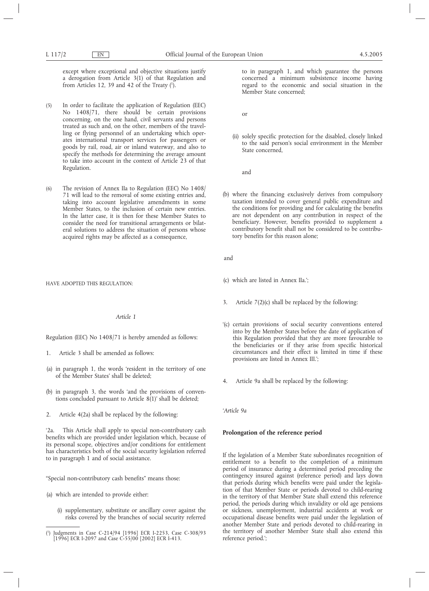except where exceptional and objective situations justify a derogation from Article 3(1) of that Regulation and from Articles 12, 39 and 42 of the Treaty  $(1)$ .

- (5) In order to facilitate the application of Regulation (EEC) No 1408/71, there should be certain provisions concerning, on the one hand, civil servants and persons treated as such and, on the other, members of the travelling or flying personnel of an undertaking which operates international transport services for passengers or goods by rail, road, air or inland waterway, and also to specify the methods for determining the average amount to take into account in the context of Article 23 of that Regulation.
- (6) The revision of Annex IIa to Regulation (EEC) No 1408/ 71 will lead to the removal of some existing entries and, taking into account legislative amendments in some Member States, to the inclusion of certain new entries. In the latter case, it is then for these Member States to consider the need for transitional arrangements or bilateral solutions to address the situation of persons whose acquired rights may be affected as a consequence,

HAVE ADOPTED THIS REGULATION:

# *Article 1*

Regulation (EEC) No 1408/71 is hereby amended as follows:

- 1. Article 3 shall be amended as follows:
- (a) in paragraph 1, the words 'resident in the territory of one of the Member States' shall be deleted;
- (b) in paragraph 3, the words 'and the provisions of conventions concluded pursuant to Article  $8(1)$ ' shall be deleted;
- 2. Article 4(2a) shall be replaced by the following:

'2a. This Article shall apply to special non-contributory cash benefits which are provided under legislation which, because of its personal scope, objectives and/or conditions for entitlement has characteristics both of the social security legislation referred to in paragraph 1 and of social assistance.

"Special non-contributory cash benefits" means those:

- (a) which are intended to provide either:
	- (i) supplementary, substitute or ancillary cover against the risks covered by the branches of social security referred

to in paragraph 1, and which guarantee the persons concerned a minimum subsistence income having regard to the economic and social situation in the Member State concerned;

or

(ii) solely specific protection for the disabled, closely linked to the said person's social environment in the Member State concerned,

and

(b) where the financing exclusively derives from compulsory taxation intended to cover general public expenditure and the conditions for providing and for calculating the benefits are not dependent on any contribution in respect of the beneficiary. However, benefits provided to supplement a contributory benefit shall not be considered to be contributory benefits for this reason alone;

and

(c) which are listed in Annex IIa.';

- 3. Article  $7(2)(c)$  shall be replaced by the following:
- '(c) certain provisions of social security conventions entered into by the Member States before the date of application of this Regulation provided that they are more favourable to the beneficiaries or if they arise from specific historical circumstances and their effect is limited in time if these provisions are listed in Annex III.';
- 4. Article 9a shall be replaced by the following:

*'Article 9a*

# **Prolongation of the reference period**

If the legislation of a Member State subordinates recognition of entitlement to a benefit to the completion of a minimum period of insurance during a determined period preceding the contingency insured against (reference period) and lays down that periods during which benefits were paid under the legislation of that Member State or periods devoted to child-rearing in the territory of that Member State shall extend this reference period, the periods during which invalidity or old age pensions or sickness, unemployment, industrial accidents at work or occupational disease benefits were paid under the legislation of another Member State and periods devoted to child-rearing in the territory of another Member State shall also extend this reference period.';

<sup>(</sup> 1 ) Judgments in Case C-214/94 [1996] ECR I-2253, Case C-308/93 [1996] ECR I-2097 and Case C-55/00 [2002] ECR I-413.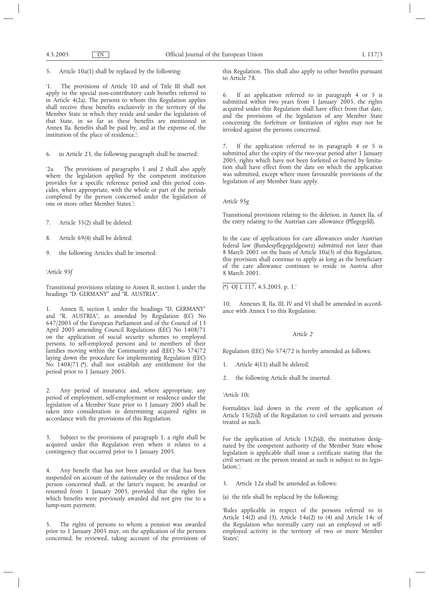5. Article 10a(1) shall be replaced by the following:

'1. The provisions of Article 10 and of Title III shall not apply to the special non-contributory cash benefits referred to in Article 4(2a). The persons to whom this Regulation applies shall receive these benefits exclusively in the territory of the Member State in which they reside and under the legislation of that State, in so far as these benefits are mentioned in Annex IIa. Benefits shall be paid by, and at the expense of, the institution of the place of residence.';

6. in Article 23, the following paragraph shall be inserted:

'2a. The provisions of paragraphs 1 and 2 shall also apply where the legislation applied by the competent institution provides for a specific reference period and this period coincides, where appropriate, with the whole or part of the periods completed by the person concerned under the legislation of one or more other Member States.';

7. Article 35(2) shall be deleted;

8. Article 69(4) shall be deleted;

9. the following Articles shall be inserted:

*'Article 95f*

Transitional provisions relating to Annex II, section I, under the headings "D. GERMANY" and "R. AUSTRIA".

1. Annex II, section I, under the headings "D. GERMANY" and "R. AUSTRIA", as amended by Regulation (EC) No 647/2005 of the European Parliament and of the Council of 13 April 2005 amending Council Regulations (EEC) No 1408/71 on the application of social security schemes to employed persons, to self-employed persons and to members of their families moving within the Community and (EEC) No 574/72 laying down the procedure for implementing Regulation (EEC) No 1408/71 (\*), shall not establish any entitlement for the period prior to 1 January 2005.

2. Any period of insurance and, where appropriate, any period of employment, self-employment or residence under the legislation of a Member State prior to 1 January 2005 shall be taken into consideration in determining acquired rights in accordance with the provisions of this Regulation.

3. Subject to the provisions of paragraph 1, a right shall be acquired under this Regulation even where it relates to a contingency that occurred prior to 1 January 2005.

4. Any benefit that has not been awarded or that has been suspended on account of the nationality or the residence of the person concerned shall, at the latter's request, be awarded or resumed from 1 January 2005, provided that the rights for which benefits were previously awarded did not give rise to a lump-sum payment.

5. The rights of persons to whom a pension was awarded prior to 1 January 2005 may, on the application of the persons concerned, be reviewed, taking account of the provisions of this Regulation. This shall also apply to other benefits pursuant to Article 78.

6. If an application referred to in paragraph 4 or 5 is submitted within two years from 1 January 2005, the rights acquired under this Regulation shall have effect from that date, and the provisions of the legislation of any Member State concerning the forfeiture or limitation of rights may not be invoked against the persons concerned.

7. If the application referred to in paragraph 4 or 5 is submitted after the expiry of the two-year period after 1 January 2005, rights which have not been forfeited or barred by limitation shall have effect from the date on which the application was submitted, except where more favourable provisions of the legislation of any Member State apply.

*Article 95g*

Transitional provisions relating to the deletion, in Annex IIa, of the entry relating to the Austrian care allowance (Pflegegeld).

In the case of applications for care allowances under Austrian federal law (Bundespflegegeldgesetz) submitted not later than 8 March 2001 on the basis of Article 10a(3) of this Regulation, this provision shall continue to apply as long as the beneficiary of the care allowance continues to reside in Austria after 8 March 2001.

(\*) OJ L 117, 4.5.2005, p. 1.'

10. Annexes II, IIa, III, IV and VI shall be amended in accordance with Annex I to this Regulation.

### *Article 2*

Regulation (EEC) No 574/72 is hereby amended as follows:

- 1. Article 4(11) shall be deleted;
- 2. the following Article shall be inserted:

### *'Article 10c*

Formalities laid down in the event of the application of Article 13(2)(d) of the Regulation to civil servants and persons treated as such.

For the application of Article 13(2)(d), the institution designated by the competent authority of the Member State whose legislation is applicable shall issue a certificate stating that the civil servant or the person treated as such is subject to its legislation.';

- 3. Article 12a shall be amended as follows:
- (a) the title shall be replaced by the following:

'Rules applicable in respect of the persons referred to in Article  $14(2)$  and (3), Article 14a(2) to (4) and Article 14c of the Regulation who normally carry out an employed or selfemployed activity in the territory of two or more Member States';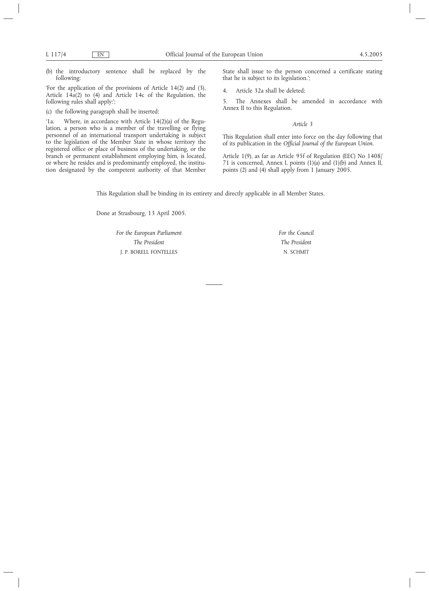(b) the introductory sentence shall be replaced by the following:

'For the application of the provisions of Article 14(2) and (3), Article 14a(2) to (4) and Article 14c of the Regulation, the following rules shall apply:';

(c) the following paragraph shall be inserted:

'1a. Where, in accordance with Article 14(2)(a) of the Regulation, a person who is a member of the travelling or flying personnel of an international transport undertaking is subject to the legislation of the Member State in whose territory the registered office or place of business of the undertaking, or the branch or permanent establishment employing him, is located, or where he resides and is predominantly employed, the institution designated by the competent authority of that Member State shall issue to the person concerned a certificate stating that he is subject to its legislation.';

4. Article 32a shall be deleted;

5. The Annexes shall be amended in accordance with Annex II to this Regulation.

*Article 3*

This Regulation shall enter into force on the day following that of its publication in the *Official Journal of the European Union*.

Article 1(9), as far as Article 95f of Regulation (EEC) No 1408/ 71 is concerned, Annex I, points (1)(a) and (1)(b) and Annex II, points (2) and (4) shall apply from 1 January 2005.

This Regulation shall be binding in its entirety and directly applicable in all Member States.

Done at Strasbourg, 13 April 2005.

*For the European Parliament The President* J. P. BORELL FONTELLES

*For the Council The President* N. SCHMIT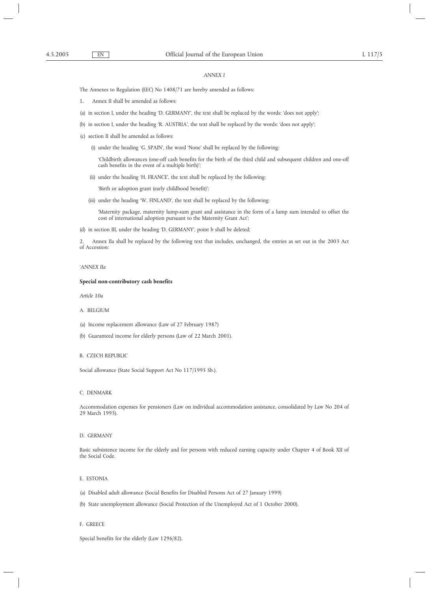### *ANNEX I*

The Annexes to Regulation (EEC) No 1408/71 are hereby amended as follows:

- 1. Annex II shall be amended as follows:
- (a) in section I, under the heading 'D. GERMANY', the text shall be replaced by the words: 'does not apply';
- (b) in section I, under the heading 'R. AUSTRIA', the text shall be replaced by the words: 'does not apply';
- (c) section II shall be amended as follows:
	- (i) under the heading 'G. SPAIN', the word 'None' shall be replaced by the following:
		- 'Childbirth allowances (one-off cash benefits for the birth of the third child and subsequent children and one-off cash benefits in the event of a multiple birth)';
	- (ii) under the heading 'H. FRANCE', the text shall be replaced by the following:

'Birth or adoption grant (early childhood benefit)';

(iii) under the heading 'W. FINLAND', the text shall be replaced by the following:

'Maternity package, maternity lump-sum grant and assistance in the form of a lump sum intended to offset the cost of international adoption pursuant to the Maternity Grant Act';

(d) in section III, under the heading 'D. GERMANY', point b shall be deleted;

2. Annex IIa shall be replaced by the following text that includes, unchanged, the entries as set out in the 2003 Act of Accession:

## *'ANNEX IIa*

# **Special non-contributory cash benefits**

*Article 10a*

### A. BELGIUM

- (a) Income replacement allowance (Law of 27 February 1987)
- (b) Guaranteed income for elderly persons (Law of 22 March 2001).

# B. CZECH REPUBLIC

Social allowance (State Social Support Act No 117/1995 Sb.).

# C. DENMARK

Accommodation expenses for pensioners (Law on individual accommodation assistance, consolidated by Law No 204 of 29 March 1995).

### D. GERMANY

Basic subsistence income for the elderly and for persons with reduced earning capacity under Chapter 4 of Book XII of the Social Code.

### E. ESTONIA

- (a) Disabled adult allowance (Social Benefits for Disabled Persons Act of 27 January 1999)
- (b) State unemployment allowance (Social Protection of the Unemployed Act of 1 October 2000).

### F. GREECE

Special benefits for the elderly (Law 1296/82).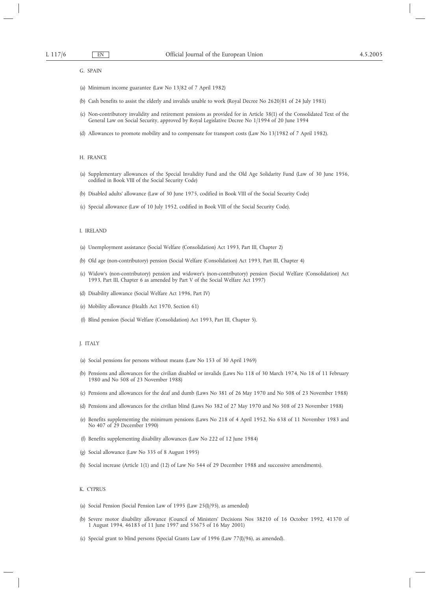G. SPAIN

- (a) Minimum income guarantee (Law No 13/82 of 7 April 1982)
- (b) Cash benefits to assist the elderly and invalids unable to work (Royal Decree No 2620/81 of 24 July 1981)
- (c) Non-contributory invalidity and retirement pensions as provided for in Article 38(1) of the Consolidated Text of the General Law on Social Security, approved by Royal Legislative Decree No 1/1994 of 20 June 1994
- (d) Allowances to promote mobility and to compensate for transport costs (Law No 13/1982 of 7 April 1982).
- H. FRANCE
- (a) Supplementary allowances of the Special Invalidity Fund and the Old Age Solidarity Fund (Law of 30 June 1956, codified in Book VIII of the Social Security Code)
- (b) Disabled adults' allowance (Law of 30 June 1975, codified in Book VIII of the Social Security Code)
- (c) Special allowance (Law of 10 July 1952, codified in Book VIII of the Social Security Code).

### I. IRELAND

- (a) Unemployment assistance (Social Welfare (Consolidation) Act 1993, Part III, Chapter 2)
- (b) Old age (non-contributory) pension (Social Welfare (Consolidation) Act 1993, Part III, Chapter 4)
- (c) Widow's (non-contributory) pension and widower's (non-contributory) pension (Social Welfare (Consolidation) Act 1993, Part III, Chapter 6 as amended by Part V of the Social Welfare Act 1997)
- (d) Disability allowance (Social Welfare Act 1996, Part IV)
- (e) Mobility allowance (Health Act 1970, Section 61)
- (f) Blind pension (Social Welfare (Consolidation) Act 1993, Part III, Chapter 5).

### J. ITALY

- (a) Social pensions for persons without means (Law No 153 of 30 April 1969)
- (b) Pensions and allowances for the civilian disabled or invalids (Laws No 118 of 30 March 1974, No 18 of 11 February 1980 and No 508 of 23 November 1988)
- (c) Pensions and allowances for the deaf and dumb (Laws No 381 of 26 May 1970 and No 508 of 23 November 1988)
- (d) Pensions and allowances for the civilian blind (Laws No 382 of 27 May 1970 and No 508 of 23 November 1988)
- (e) Benefits supplementing the minimum pensions (Laws No 218 of 4 April 1952, No 638 of 11 November 1983 and No 407 of 29 December 1990)
- (f) Benefits supplementing disability allowances (Law No 222 of 12 June 1984)
- (g) Social allowance (Law No 335 of 8 August 1995)
- (h) Social increase (Article 1(1) and (12) of Law No 544 of 29 December 1988 and successive amendments).

### K. CYPRUS

- (a) Social Pension (Social Pension Law of 1995 (Law 25(I)/95), as amended)
- (b) Severe motor disability allowance (Council of Ministers' Decisions Nos 38210 of 16 October 1992, 41370 of 1 August 1994, 46183 of 11 June 1997 and 53675 of 16 May 2001)
- (c) Special grant to blind persons (Special Grants Law of 1996 (Law 77(I)/96), as amended).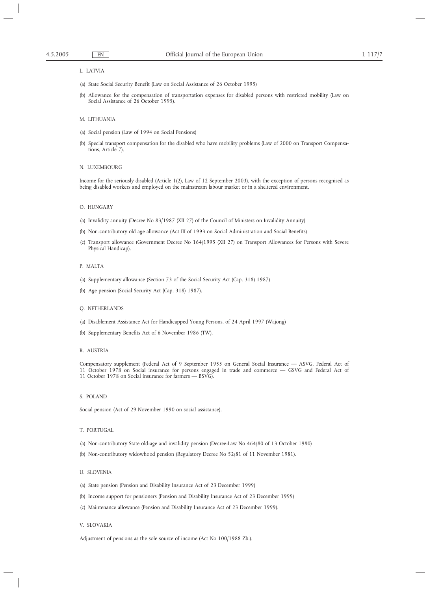# L. LATVIA

- (a) State Social Security Benefit (Law on Social Assistance of 26 October 1995)
- (b) Allowance for the compensation of transportation expenses for disabled persons with restricted mobility (Law on Social Assistance of 26 October 1995).

### M. LITHUANIA

- (a) Social pension (Law of 1994 on Social Pensions)
- (b) Special transport compensation for the disabled who have mobility problems (Law of 2000 on Transport Compensations, Article 7).

### N. LUXEMBOURG

Income for the seriously disabled (Article 1(2), Law of 12 September 2003), with the exception of persons recognised as being disabled workers and employed on the mainstream labour market or in a sheltered environment.

### O. HUNGARY

- (a) Invalidity annuity (Decree No 83/1987 (XII 27) of the Council of Ministers on Invalidity Annuity)
- (b) Non-contributory old age allowance (Act III of 1993 on Social Administration and Social Benefits)
- (c) Transport allowance (Government Decree No 164/1995 (XII 27) on Transport Allowances for Persons with Severe Physical Handicap).

# P. MALTA

- (a) Supplementary allowance (Section 73 of the Social Security Act (Cap. 318) 1987)
- (b) Age pension (Social Security Act (Cap. 318) 1987).

### Q. NETHERLANDS

- (a) Disablement Assistance Act for Handicapped Young Persons, of 24 April 1997 (Wajong)
- (b) Supplementary Benefits Act of 6 November 1986 (TW).

### R. AUSTRIA

Compensatory supplement (Federal Act of 9 September 1955 on General Social Insurance — ASVG, Federal Act of 11 October 1978 on Social insurance for persons engaged in trade and commerce — GSVG and Federal Act of 11 October 1978 on Social insurance for farmers — BSVG).

# S. POLAND

Social pension (Act of 29 November 1990 on social assistance).

### T. PORTUGAL

- (a) Non-contributory State old-age and invalidity pension (Decree-Law No 464/80 of 13 October 1980)
- (b) Non-contributory widowhood pension (Regulatory Decree No 52/81 of 11 November 1981).

### U. SLOVENIA

- (a) State pension (Pension and Disability Insurance Act of 23 December 1999)
- (b) Income support for pensioners (Pension and Disability Insurance Act of 23 December 1999)
- (c) Maintenance allowance (Pension and Disability Insurance Act of 23 December 1999).

# V. SLOVAKIA

Adjustment of pensions as the sole source of income (Act No 100/1988 Zb.).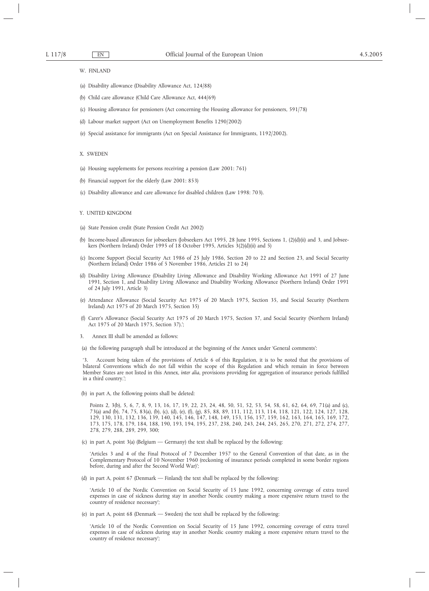### W. FINLAND

- (a) Disability allowance (Disability Allowance Act, 124/88)
- (b) Child care allowance (Child Care Allowance Act, 444/69)
- (c) Housing allowance for pensioners (Act concerning the Housing allowance for pensioners, 591/78)
- (d) Labour market support (Act on Unemployment Benefits 1290/2002)
- (e) Special assistance for immigrants (Act on Special Assistance for Immigrants, 1192/2002).

### X. SWEDEN

- (a) Housing supplements for persons receiving a pension (Law 2001: 761)
- (b) Financial support for the elderly (Law 2001: 853)
- (c) Disability allowance and care allowance for disabled children (Law 1998: 703).
- Y. UNITED KINGDOM
- (a) State Pension credit (State Pension Credit Act 2002)
- (b) Income-based allowances for jobseekers (Jobseekers Act 1995, 28 June 1995, Sections 1,  $(2)(d)(ii)$  and 3, and Jobseekers (Northern Ireland) Order 1995 of 18 October 1995, Articles 3(2)(d)(ii) and 5)
- (c) Income Support (Social Security Act 1986 of 25 July 1986, Section 20 to 22 and Section 23, and Social Security (Northern Ireland) Order 1986 of 5 November 1986, Articles 21 to 24)
- (d) Disability Living Allowance (Disability Living Allowance and Disability Working Allowance Act 1991 of 27 June 1991, Section 1, and Disability Living Allowance and Disability Working Allowance (Northern Ireland) Order 1991 of 24 July 1991, Article 3)
- (e) Attendance Allowance (Social Security Act 1975 of 20 March 1975, Section 35, and Social Security (Northern Ireland) Act 1975 of 20 March 1975, Section 35)
- (f) Carer's Allowance (Social Security Act 1975 of 20 March 1975, Section 37, and Social Security (Northern Ireland) Act 1975 of 20 March 1975, Section 37).';
- 3. Annex III shall be amended as follows:
- (a) the following paragraph shall be introduced at the beginning of the Annex under 'General comments':

Account being taken of the provisions of Article 6 of this Regulation, it is to be noted that the provisions of bilateral Conventions which do not fall within the scope of this Regulation and which remain in force between Member States are not listed in this Annex, *inter alia*, provisions providing for aggregation of insurance periods fulfilled in a third country.';

(b) in part A, the following points shall be deleted:

Points 2, 3(b), 5, 6, 7, 8, 9, 13, 16, 17, 19, 22, 23, 24, 48, 50, 51, 52, 53, 54, 58, 61, 62, 64, 69, 71(a) and (c), 73(a) and (b), 74, 75, 83(a), (b), (c), (d), (e), (f), (g), 85, 88, 89, 111, 112, 113, 114, 118, 121, 122, 124, 127, 128, 129, 130, 131, 132, 136, 139, 140, 145, 146, 147, 148, 149, 153, 156, 157, 159, 162, 163, 164, 165, 169, 172, 173, 175, 178, 179, 184, 188, 190, 193, 194, 195, 237, 238, 240, 243, 244, 245, 265, 270, 271, 272, 274, 277, 278, 279, 288, 289, 299, 300;

(c) in part A, point  $3(a)$  (Belgium — Germany) the text shall be replaced by the following:

'Articles 3 and 4 of the Final Protocol of 7 December 1957 to the General Convention of that date, as in the Complementary Protocol of 10 November 1960 (reckoning of insurance periods completed in some border regions before, during and after the Second World War)';

(d) in part A, point 67 (Denmark — Finland) the text shall be replaced by the following:

'Article 10 of the Nordic Convention on Social Security of 15 June 1992, concerning coverage of extra travel expenses in case of sickness during stay in another Nordic country making a more expensive return travel to the country of residence necessary';

(e) in part A, point 68 (Denmark — Sweden) the text shall be replaced by the following:

'Article 10 of the Nordic Convention on Social Security of 15 June 1992, concerning coverage of extra travel expenses in case of sickness during stay in another Nordic country making a more expensive return travel to the country of residence necessary';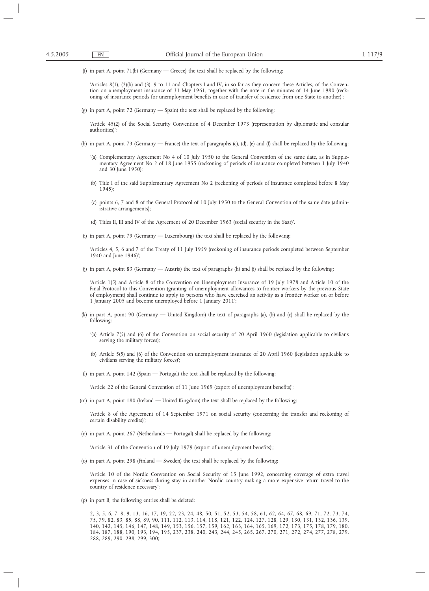(f) in part A, point 71(b) (Germany — Greece) the text shall be replaced by the following:

'Articles 8(1), (2)(b) and (3), 9 to 11 and Chapters I and IV, in so far as they concern these Articles, of the Convention on unemployment insurance of 31 May 1961, together with the note in the minutes of 14 June 1980 (reckoning of insurance periods for unemployment benefits in case of transfer of residence from one State to another)';

(g) in part A, point 72 (Germany — Spain) the text shall be replaced by the following:

'Article 45(2) of the Social Security Convention of 4 December 1973 (representation by diplomatic and consular authorities)';

- (h) in part A, point 73 (Germany France) the text of paragraphs (c), (d), (e) and (f) shall be replaced by the following:
	- '(a) Complementary Agreement No 4 of 10 July 1950 to the General Convention of the same date, as in Supplementary Agreement No 2 of 18 June 1955 (reckoning of periods of insurance completed between 1 July 1940 and 30 June 1950);
	- (b) Title I of the said Supplementary Agreement No 2 (reckoning of periods of insurance completed before 8 May 1945);
	- (c) points 6, 7 and 8 of the General Protocol of 10 July 1950 to the General Convention of the same date (administrative arrangements);
	- (d) Titles II, III and IV of the Agreement of 20 December 1963 (social security in the Saar)'.
- (i) in part A, point 79 (Germany Luxembourg) the text shall be replaced by the following:

'Articles 4, 5, 6 and 7 of the Treaty of 11 July 1959 (reckoning of insurance periods completed between September 1940 and June 1946)';

(j) in part A, point 83 (Germany — Austria) the text of paragraphs (h) and (i) shall be replaced by the following:

'Article 1(5) and Article 8 of the Convention on Unemployment Insurance of 19 July 1978 and Article 10 of the Final Protocol to this Convention (granting of unemployment allowances to frontier workers by the previous State of employment) shall continue to apply to persons who have exercised an activity as a frontier worker on or before 1 January 2005 and become unemployed before 1 January 2011';

- (k) in part A, point 90 (Germany United Kingdom) the text of paragraphs (a), (b) and (c) shall be replaced by the following:
	- '(a) Article 7(5) and (6) of the Convention on social security of 20 April 1960 (legislation applicable to civilians serving the military forces);
	- (b) Article 5(5) and (6) of the Convention on unemployment insurance of 20 April 1960 (legislation applicable to civilians serving the military forces)';
- (l) in part A, point 142 (Spain Portugal) the text shall be replaced by the following:

'Article 22 of the General Convention of 11 June 1969 (export of unemployment benefits)';

(m) in part A, point 180 (Ireland — United Kingdom) the text shall be replaced by the following:

'Article 8 of the Agreement of 14 September 1971 on social security (concerning the transfer and reckoning of certain disability credits)';

(n) in part A, point 267 (Netherlands — Portugal) shall be replaced by the following:

'Article 31 of the Convention of 19 July 1979 (export of unemployment benefits)';

(o) in part A, point 298 (Finland — Sweden) the text shall be replaced by the following:

'Article 10 of the Nordic Convention on Social Security of 15 June 1992, concerning coverage of extra travel expenses in case of sickness during stay in another Nordic country making a more expensive return travel to the country of residence necessary';

(p) in part B, the following entries shall be deleted:

2, 3, 5, 6, 7, 8, 9, 13, 16, 17, 19, 22, 23, 24, 48, 50, 51, 52, 53, 54, 58, 61, 62, 64, 67, 68, 69, 71, 72, 73, 74, 75, 79, 82, 83, 85, 88, 89, 90, 111, 112, 113, 114, 118, 121, 122, 124, 127, 128, 129, 130, 131, 132, 136, 139, 140, 142, 145, 146, 147, 148, 149, 153, 156, 157, 159, 162, 163, 164, 165, 169, 172, 173, 175, 178, 179, 180, 184, 187, 188, 190, 193, 194, 195, 237, 238, 240, 243, 244, 245, 265, 267, 270, 271, 272, 274, 277, 278, 279, 288, 289, 290, 298, 299, 300;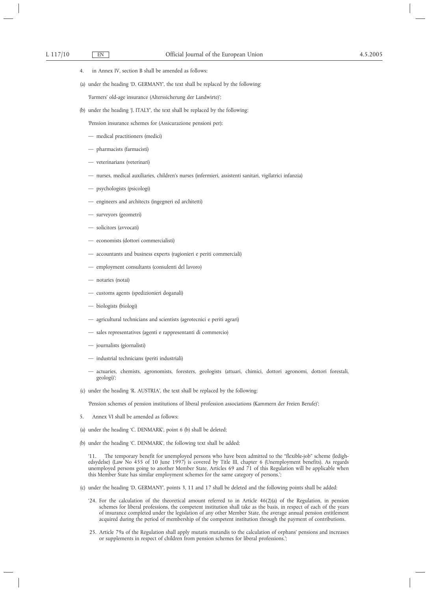- 4. in Annex IV, section B shall be amended as follows:
- (a) under the heading 'D. GERMANY', the text shall be replaced by the following:

'Farmers' old-age insurance (Alterssicherung der Landwirte)';

(b) under the heading 'J. ITALY', the text shall be replaced by the following:

'Pension insurance schemes for (Assicurazione pensioni per):

- medical practitioners (medici)
- pharmacists (farmacisti)
- veterinarians (veterinari)
- nurses, medical auxiliaries, children's nurses (infermieri, assistenti sanitari, vigilatrici infanzia)
- psychologists (psicologi)
- engineers and architects (ingegneri ed architetti)
- surveyors (geometri)
- solicitors (avvocati)
- economists (dottori commercialisti)
- accountants and business experts (ragionieri e periti commerciali)
- employment consultants (consulenti del lavoro)
- notaries (notai)
- customs agents (spedizionieri doganali)
- biologists (biologi)
- agricultural technicians and scientists (agrotecnici e periti agrari)
- sales representatives (agenti e rappresentanti di commercio)
- journalists (giornalisti)
- industrial technicians (periti industriali)
- actuaries, chemists, agronomists, foresters, geologists (attuari, chimici, dottori agronomi, dottori forestali, geologi)';
- (c) under the heading 'R. AUSTRIA', the text shall be replaced by the following:

'Pension schemes of pension institutions of liberal profession associations (Kammern der Freien Berufe)';

- 5. Annex VI shall be amended as follows:
- (a) under the heading 'C. DENMARK', point 6 (b) shall be deleted;
- (b) under the heading 'C. DENMARK', the following text shall be added:

'11. The temporary benefit for unemployed persons who have been admitted to the "flexible-job" scheme (ledighedsydelse) (Law No 455 of 10 June 1997) is covered by Title III, chapter 6 (Unemployment benefits). As regards unemployed persons going to another Member State, Articles 69 and 71 of this Regulation will be applicable when this Member State has similar employment schemes for the same category of persons.';

- (c) under the heading 'D. GERMANY', points 3, 11 and 17 shall be deleted and the following points shall be added:
	- '24. For the calculation of the theoretical amount referred to in Article 46(2)(a) of the Regulation, in pension schemes for liberal professions, the competent institution shall take as the basis, in respect of each of the years of insurance completed under the legislation of any other Member State, the average annual pension entitlement acquired during the period of membership of the competent institution through the payment of contributions.
	- 25. Article 79a of the Regulation shall apply mutatis mutandis to the calculation of orphans' pensions and increases or supplements in respect of children from pension schemes for liberal professions.';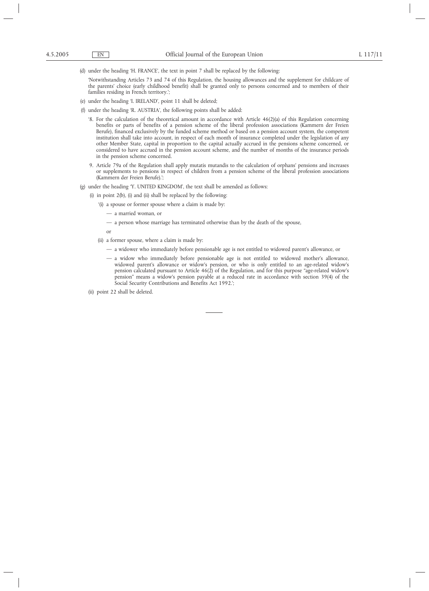(d) under the heading 'H. FRANCE', the text in point 7 shall be replaced by the following:

'Notwithstanding Articles 73 and 74 of this Regulation, the housing allowances and the supplement for childcare of the parents' choice (early childhood benefit) shall be granted only to persons concerned and to members of their families residing in French territory.';

- (e) under the heading 'I. IRELAND', point 11 shall be deleted;
- (f) under the heading 'R. AUSTRIA', the following points shall be added:
	- '8. For the calculation of the theoretical amount in accordance with Article 46(2)(a) of this Regulation concerning benefits or parts of benefits of a pension scheme of the liberal profession associations (Kammern der Freien Berufe), financed exclusively by the funded scheme method or based on a pension account system, the competent institution shall take into account, in respect of each month of insurance completed under the legislation of any other Member State, capital in proportion to the capital actually accrued in the pensions scheme concerned, or considered to have accrued in the pension account scheme, and the number of months of the insurance periods in the pension scheme concerned.
	- 9. Article 79a of the Regulation shall apply mutatis mutandis to the calculation of orphans' pensions and increases or supplements to pensions in respect of children from a pension scheme of the liberal profession associations (Kammern der Freien Berufe).';
- (g) under the heading 'Y. UNITED KINGDOM', the text shall be amended as follows:
	- (i) in point  $2(b)$ , (i) and (ii) shall be replaced by the following:
		- '(i) a spouse or former spouse where a claim is made by:
			- a married woman, or
			- a person whose marriage has terminated otherwise than by the death of the spouse,

or

- (ii) a former spouse, where a claim is made by:
	- a widower who immediately before pensionable age is not entitled to widowed parent's allowance, or
	- a widow who immediately before pensionable age is not entitled to widowed mother's allowance, widowed parent's allowance or widow's pension, or who is only entitled to an age-related widow's pension calculated pursuant to Article 46(2) of the Regulation, and for this purpose "age-related widow's pension" means a widow's pension payable at a reduced rate in accordance with section 39(4) of the Social Security Contributions and Benefits Act 1992.';

(ii) point 22 shall be deleted.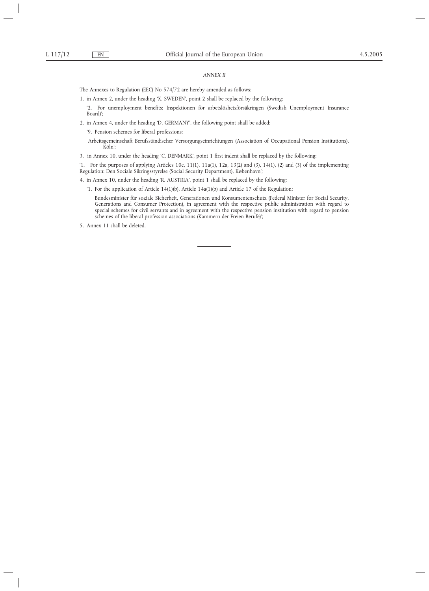### *ANNEX II*

The Annexes to Regulation (EEC) No 574/72 are hereby amended as follows:

1. in Annex 2, under the heading 'X. SWEDEN', point 2 shall be replaced by the following:

'2. For unemployment benefits: Inspektionen för arbetslöshetsförsäkringen (Swedish Unemployment Insurance Board)';

2. in Annex 4, under the heading 'D. GERMANY', the following point shall be added:

'9. Pension schemes for liberal professions:

Arbeitsgemeinschaft Berufsständischer Versorgungseinrichtungen (Association of Occupational Pension Institutions), Köln';

3. in Annex 10, under the heading 'C. DENMARK', point 1 first indent shall be replaced by the following:

'1. For the purposes of applying Articles 10c, 11(1), 11a(1), 12a, 13(2) and (3), 14(1), (2) and (3) of the implementing Regulation: Den Sociale Sikringsstyrelse (Social Security Department), København';

4. in Annex 10, under the heading 'R. AUSTRIA', point 1 shall be replaced by the following:

'1. For the application of Article 14(1)(b), Article 14a(1)(b) and Article 17 of the Regulation:

Bundesminister für soziale Sicherheit, Generationen und Konsumentenschutz (Federal Minister for Social Security, Generations and Consumer Protection), in agreement with the respective public administration with regard to special schemes for civil servants and in agreement with the respective pension institution with regard to pension schemes of the liberal profession associations (Kammern der Freien Berufe)';

5. Annex 11 shall be deleted.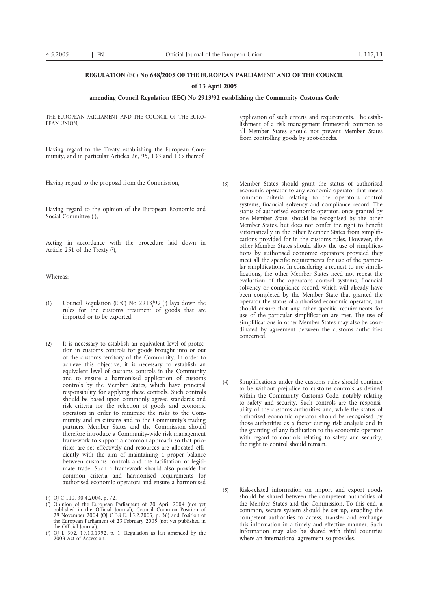# **REGULATION (EC) No 648/2005 OF THE EUROPEAN PARLIAMENT AND OF THE COUNCIL**

# **of 13 April 2005**

# **amending Council Regulation (EEC) No 2913/92 establishing the Community Customs Code**

THE EUROPEAN PARLIAMENT AND THE COUNCIL OF THE EURO-PEAN UNION,

Having regard to the Treaty establishing the European Community, and in particular Articles 26, 95, 133 and 135 thereof,

Having regard to the proposal from the Commission,

Having regard to the opinion of the European Economic and Social Committee (1),

Acting in accordance with the procedure laid down in Article  $251$  of the Treaty  $(2)$ ,

Whereas:

- (1) Council Regulation (EEC) No  $2913/92$  (3) lays down the rules for the customs treatment of goods that are imported or to be exported.
- (2) It is necessary to establish an equivalent level of protection in customs controls for goods brought into or out of the customs territory of the Community. In order to achieve this objective, it is necessary to establish an equivalent level of customs controls in the Community and to ensure a harmonised application of customs controls by the Member States, which have principal responsibility for applying these controls. Such controls should be based upon commonly agreed standards and risk criteria for the selection of goods and economic operators in order to minimise the risks to the Community and its citizens and to the Community's trading partners. Member States and the Commission should therefore introduce a Community-wide risk management framework to support a common approach so that priorities are set effectively and resources are allocated efficiently with the aim of maintaining a proper balance between customs controls and the facilitation of legitimate trade. Such a framework should also provide for common criteria and harmonised requirements for authorised economic operators and ensure a harmonised

application of such criteria and requirements. The establishment of a risk management framework common to all Member States should not prevent Member States from controlling goods by spot-checks.

- (3) Member States should grant the status of authorised economic operator to any economic operator that meets common criteria relating to the operator's control systems, financial solvency and compliance record. The status of authorised economic operator, once granted by one Member State, should be recognised by the other Member States, but does not confer the right to benefit automatically in the other Member States from simplifications provided for in the customs rules. However, the other Member States should allow the use of simplifications by authorised economic operators provided they meet all the specific requirements for use of the particular simplifications. In considering a request to use simplifications, the other Member States need not repeat the evaluation of the operator's control systems, financial solvency or compliance record, which will already have been completed by the Member State that granted the operator the status of authorised economic operator, but should ensure that any other specific requirements for use of the particular simplification are met. The use of simplifications in other Member States may also be coordinated by agreement between the customs authorities concerned.
- (4) Simplifications under the customs rules should continue to be without prejudice to customs controls as defined within the Community Customs Code, notably relating to safety and security. Such controls are the responsibility of the customs authorities and, while the status of authorised economic operator should be recognised by those authorities as a factor during risk analysis and in the granting of any facilitation to the economic operator with regard to controls relating to safety and security, the right to control should remain.
- (5) Risk-related information on import and export goods should be shared between the competent authorities of the Member States and the Commission. To this end, a common, secure system should be set up, enabling the competent authorities to access, transfer and exchange this information in a timely and effective manner. Such information may also be shared with third countries where an international agreement so provides.

<sup>(</sup> 1 ) OJ C 110, 30.4.2004, p. 72.

 $(2)$ ) Opinion of the European Parliament of 20 April 2004 (not yet published in the Official Journal), Council Common Position of 29 November 2004 (OJ C 38 E, 15.2.2005, p. 36) and Position of the European Parliament of 23 February 2005 (not yet published in the Official Journal).

<sup>(</sup> 3 ) OJ L 302, 19.10.1992, p. 1. Regulation as last amended by the 2003 Act of Accession.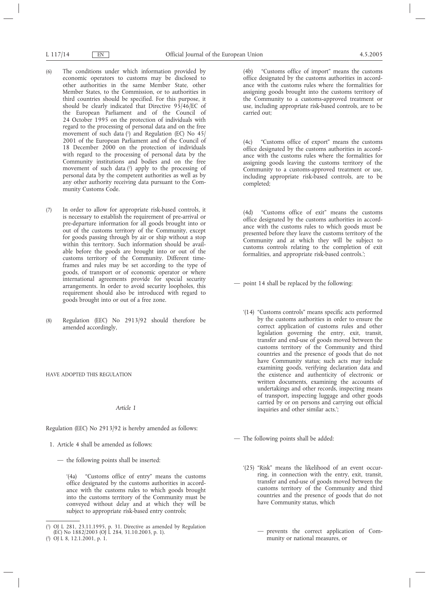- (6) The conditions under which information provided by economic operators to customs may be disclosed to other authorities in the same Member State, other Member States, to the Commission, or to authorities in third countries should be specified. For this purpose, it should be clearly indicated that Directive  $9\bar{5}/4\bar{6}/EC$  of the European Parliament and of the Council of 24 October 1995 on the protection of individuals with regard to the processing of personal data and on the free movement of such data (1 ) and Regulation (EC) No 45/ 2001 of the European Parliament and of the Council of 18 December 2000 on the protection of individuals with regard to the processing of personal data by the Community institutions and bodies and on the free movement of such data  $(2)$  apply to the processing of personal data by the competent authorities as well as by any other authority receiving data pursuant to the Community Customs Code.
- (7) In order to allow for appropriate risk-based controls, it is necessary to establish the requirement of pre-arrival or pre-departure information for all goods brought into or out of the customs territory of the Community, except for goods passing through by air or ship without a stop within this territory. Such information should be available before the goods are brought into or out of the customs territory of the Community. Different timeframes and rules may be set according to the type of goods, of transport or of economic operator or where international agreements provide for special security arrangements. In order to avoid security loopholes, this requirement should also be introduced with regard to goods brought into or out of a free zone.
- (8) Regulation (EEC) No 2913/92 should therefore be amended accordingly,

HAVE ADOPTED THIS REGULATION

### *Article 1*

Regulation (EEC) No 2913/92 is hereby amended as follows:

- 1. Article 4 shall be amended as follows:
	- the following points shall be inserted:

'(4a) "Customs office of entry" means the customs office designated by the customs authorities in accordance with the customs rules to which goods brought into the customs territory of the Community must be conveyed without delay and at which they will be subject to appropriate risk-based entry controls;

(4b) "Customs office of import" means the customs office designated by the customs authorities in accordance with the customs rules where the formalities for assigning goods brought into the customs territory of the Community to a customs-approved treatment or use, including appropriate risk-based controls, are to be carried out;

(4c) "Customs office of export" means the customs office designated by the customs authorities in accordance with the customs rules where the formalities for assigning goods leaving the customs territory of the Community to a customs-approved treatment or use, including appropriate risk-based controls, are to be completed;

(4d) "Customs office of exit" means the customs office designated by the customs authorities in accordance with the customs rules to which goods must be presented before they leave the customs territory of the Community and at which they will be subject to customs controls relating to the completion of exit formalities, and appropriate risk-based controls.';

— point 14 shall be replaced by the following:

'(14) "Customs controls" means specific acts performed by the customs authorities in order to ensure the correct application of customs rules and other legislation governing the entry, exit, transit, transfer and end-use of goods moved between the customs territory of the Community and third countries and the presence of goods that do not have Community status; such acts may include examining goods, verifying declaration data and the existence and authenticity of electronic or written documents, examining the accounts of undertakings and other records, inspecting means of transport, inspecting luggage and other goods carried by or on persons and carrying out official inquiries and other similar acts.';

— The following points shall be added:

'(25) "Risk" means the likelihood of an event occurring, in connection with the entry, exit, transit, transfer and end-use of goods moved between the customs territory of the Community and third countries and the presence of goods that do not have Community status, which

<sup>(</sup> 1 ) OJ L 281, 23.11.1995, p. 31. Directive as amended by Regulation

<sup>(</sup>EC) No 1882/2003 (OJ L 284, 31.10.2003, p. 1).

<sup>(</sup> 2 ) OJ L 8, 12.1.2001, p. 1.

<sup>—</sup> prevents the correct application of Community or national measures, or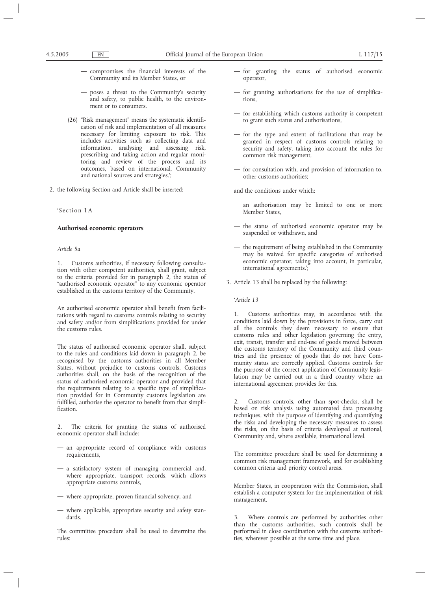- compromises the financial interests of the Community and its Member States, or
- poses a threat to the Community's security and safety, to public health, to the environment or to consumers.
- (26) "Risk management" means the systematic identification of risk and implementation of all measures necessary for limiting exposure to risk. This includes activities such as collecting data and information, analysing and assessing risk, prescribing and taking action and regular monitoring and review of the process and its outcomes, based on international, Community and national sources and strategies.';
- 2. the following Section and Article shall be inserted:

# 'Section 1A

### **Authorised economic operators**

# *Article 5a*

1. Customs authorities, if necessary following consultation with other competent authorities, shall grant, subject to the criteria provided for in paragraph 2, the status of "authorised economic operator" to any economic operator established in the customs territory of the Community.

An authorised economic operator shall benefit from facilitations with regard to customs controls relating to security and safety and/or from simplifications provided for under the customs rules.

The status of authorised economic operator shall, subject to the rules and conditions laid down in paragraph 2, be recognised by the customs authorities in all Member States, without prejudice to customs controls. Customs authorities shall, on the basis of the recognition of the status of authorised economic operator and provided that the requirements relating to a specific type of simplification provided for in Community customs legislation are fulfilled, authorise the operator to benefit from that simplification.

2. The criteria for granting the status of authorised economic operator shall include:

- an appropriate record of compliance with customs requirements,
- a satisfactory system of managing commercial and, where appropriate, transport records, which allows appropriate customs controls,
- where appropriate, proven financial solvency, and
- where applicable, appropriate security and safety standards.

The committee procedure shall be used to determine the rules:

- for granting the status of authorised economic operator,
- for granting authorisations for the use of simplifications,
- for establishing which customs authority is competent to grant such status and authorisations,
- for the type and extent of facilitations that may be granted in respect of customs controls relating to security and safety, taking into account the rules for common risk management,
- for consultation with, and provision of information to, other customs authorities;

and the conditions under which:

- an authorisation may be limited to one or more Member States,
- the status of authorised economic operator may be suspended or withdrawn, and
- the requirement of being established in the Community may be waived for specific categories of authorised economic operator, taking into account, in particular, international agreements.';
- 3. Article 13 shall be replaced by the following:

### *'Article 13*

1. Customs authorities may, in accordance with the conditions laid down by the provisions in force, carry out all the controls they deem necessary to ensure that customs rules and other legislation governing the entry, exit, transit, transfer and end-use of goods moved between the customs territory of the Community and third countries and the presence of goods that do not have Community status are correctly applied. Customs controls for the purpose of the correct application of Community legislation may be carried out in a third country where an international agreement provides for this.

Customs controls, other than spot-checks, shall be based on risk analysis using automated data processing techniques, with the purpose of identifying and quantifying the risks and developing the necessary measures to assess the risks, on the basis of criteria developed at national, Community and, where available, international level.

The committee procedure shall be used for determining a common risk management framework, and for establishing common criteria and priority control areas.

Member States, in cooperation with the Commission, shall establish a computer system for the implementation of risk management.

3. Where controls are performed by authorities other than the customs authorities, such controls shall be performed in close coordination with the customs authorities, wherever possible at the same time and place.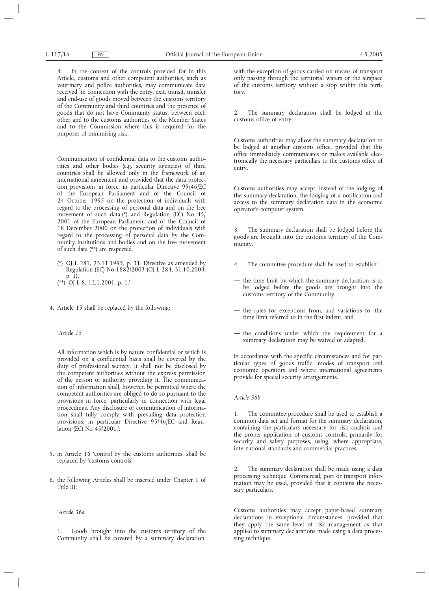4. In the context of the controls provided for in this Article, customs and other competent authorities, such as veterinary and police authorities, may communicate data received, in connection with the entry, exit, transit, transfer and end-use of goods moved between the customs territory of the Community and third countries and the presence of goods that do not have Community status, between each other and to the customs authorities of the Member States and to the Commission where this is required for the purposes of minimising risk.

Communication of confidential data to the customs authorities and other bodies (e.g. security agencies) of third countries shall be allowed only in the framework of an international agreement and provided that the data protection provisions in force, in particular Directive 95/46/EC of the European Parliament and of the Council of 24 October 1995 on the protection of individuals with regard to the processing of personal data and on the free movement of such data (\*) and Regulation (EC) No 45/ 2001 of the European Parliament and of the Council of 18 December 2000 on the protection of individuals with regard to the processing of personal data by the Community institutions and bodies and on the free movement of such data (\*\*) are respected.

4. Article 15 shall be replaced by the following:

# *'Article 15*

All information which is by nature confidential or which is provided on a confidential basis shall be covered by the duty of professional secrecy. It shall not be disclosed by the competent authorities without the express permission of the person or authority providing it. The communication of information shall, however, be permitted where the competent authorities are obliged to do so pursuant to the provisions in force, particularly in connection with legal proceedings. Any disclosure or communication of information shall fully comply with prevailing data protection provisions, in particular Directive 95/46/EC and Regulation (EC) No 45/2001.';

- 5. in Article 16 'control by the customs authorities' shall be replaced by 'customs controls';
- 6. the following Articles shall be inserted under Chapter 1 of Title III:

*'Article 36a*

1. Goods brought into the customs territory of the Community shall be covered by a summary declaration, with the exception of goods carried on means of transport only passing through the territorial waters or the airspace of the customs territory without a stop within this territory.

2. The summary declaration shall be lodged at the customs office of entry.

Customs authorities may allow the summary declaration to be lodged at another customs office, provided that this office immediately communicates or makes available electronically the necessary particulars to the customs office of entry.

Customs authorities may accept, instead of the lodging of the summary declaration, the lodging of a notification and access to the summary declaration data in the economic operator's computer system.

3. The summary declaration shall be lodged before the goods are brought into the customs territory of the Community.

- 4. The committee procedure shall be used to establish:
- the time limit by which the summary declaration is to be lodged before the goods are brought into the customs territory of the Community,
- the rules for exceptions from, and variations to, the time limit referred to in the first indent, and
- the conditions under which the requirement for a summary declaration may be waived or adapted,

in accordance with the specific circumstances and for particular types of goods traffic, modes of transport and economic operators and where international agreements provide for special security arrangements.

# *Article 36b*

1. The committee procedure shall be used to establish a common data set and format for the summary declaration, containing the particulars necessary for risk analysis and the proper application of customs controls, primarily for security and safety purposes, using, where appropriate, international standards and commercial practices.

2. The summary declaration shall be made using a data processing technique. Commercial, port or transport information may be used, provided that it contains the necessary particulars.

Customs authorities may accept paper-based summary declarations in exceptional circumstances, provided that they apply the same level of risk management as that applied to summary declarations made using a data processing technique.

<sup>(\*)</sup> OJ L 281, 23.11.1995, p. 31. Directive as amended by Regulation (EC) No 1882/2003 (OJ L 284, 31.10.2003, p. 1).  $(**)$  OJ L 8, 12.1.2001, p. 1.'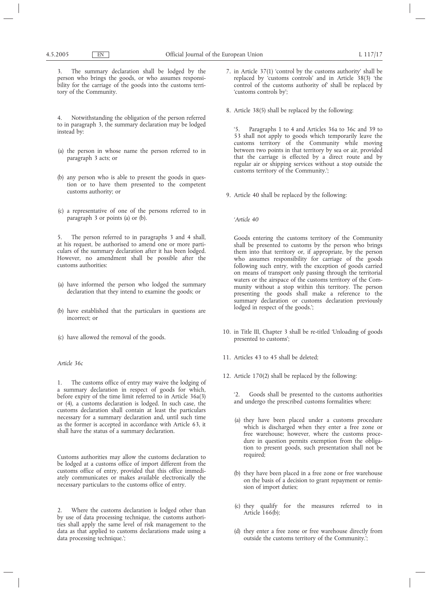3. The summary declaration shall be lodged by the person who brings the goods, or who assumes responsibility for the carriage of the goods into the customs territory of the Community.

Notwithstanding the obligation of the person referred to in paragraph 3, the summary declaration may be lodged instead by:

- (a) the person in whose name the person referred to in paragraph 3 acts; or
- (b) any person who is able to present the goods in question or to have them presented to the competent customs authority; or
- (c) a representative of one of the persons referred to in paragraph 3 or points (a) or (b).

5. The person referred to in paragraphs 3 and 4 shall, at his request, be authorised to amend one or more particulars of the summary declaration after it has been lodged. However, no amendment shall be possible after the customs authorities:

- (a) have informed the person who lodged the summary declaration that they intend to examine the goods; or
- (b) have established that the particulars in questions are incorrect; or
- (c) have allowed the removal of the goods.

*Article 36c*

1. The customs office of entry may waive the lodging of a summary declaration in respect of goods for which, before expiry of the time limit referred to in Article 36a(3) or (4), a customs declaration is lodged. In such case, the customs declaration shall contain at least the particulars necessary for a summary declaration and, until such time as the former is accepted in accordance with Article 63, it shall have the status of a summary declaration.

Customs authorities may allow the customs declaration to be lodged at a customs office of import different from the customs office of entry, provided that this office immediately communicates or makes available electronically the necessary particulars to the customs office of entry.

2. Where the customs declaration is lodged other than by use of data processing technique, the customs authorities shall apply the same level of risk management to the data as that applied to customs declarations made using a data processing technique.';

- 7. in Article 37(1) 'control by the customs authority' shall be replaced by 'customs controls' and in Article 38(3) 'the control of the customs authority of' shall be replaced by 'customs controls by';
- 8. Article 38(5) shall be replaced by the following:

'5. Paragraphs 1 to 4 and Articles 36a to 36c and 39 to 53 shall not apply to goods which temporarily leave the customs territory of the Community while moving between two points in that territory by sea or air, provided that the carriage is effected by a direct route and by regular air or shipping services without a stop outside the customs territory of the Community.';

9. Article 40 shall be replaced by the following:

*'Article 40*

Goods entering the customs territory of the Community shall be presented to customs by the person who brings them into that territory or, if appropriate, by the person who assumes responsibility for carriage of the goods following such entry, with the exception of goods carried on means of transport only passing through the territorial waters or the airspace of the customs territory of the Community without a stop within this territory. The person presenting the goods shall make a reference to the summary declaration or customs declaration previously lodged in respect of the goods.';

- 10. in Title III, Chapter 3 shall be re-titled 'Unloading of goods presented to customs';
- 11. Articles 43 to 45 shall be deleted;
- 12. Article 170(2) shall be replaced by the following:
	- '2. Goods shall be presented to the customs authorities and undergo the prescribed customs formalities where:
	- (a) they have been placed under a customs procedure which is discharged when they enter a free zone or free warehouse; however, where the customs procedure in question permits exemption from the obligation to present goods, such presentation shall not be required;
	- (b) they have been placed in a free zone or free warehouse on the basis of a decision to grant repayment or remission of import duties;
	- (c) they qualify for the measures referred to in Article 166(b);
	- (d) they enter a free zone or free warehouse directly from outside the customs territory of the Community.';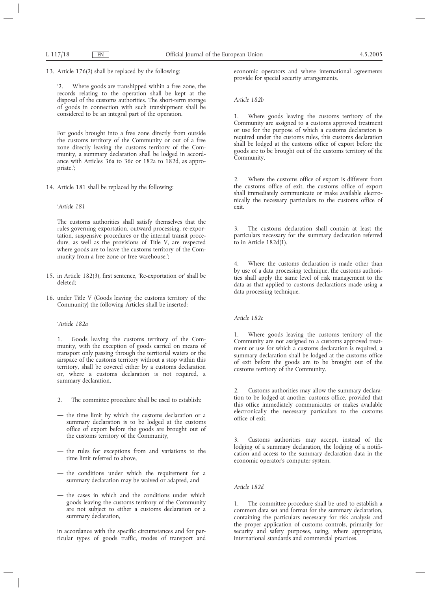13. Article 176(2) shall be replaced by the following:

Where goods are transhipped within a free zone, the records relating to the operation shall be kept at the disposal of the customs authorities. The short-term storage of goods in connection with such transhipment shall be considered to be an integral part of the operation.

For goods brought into a free zone directly from outside the customs territory of the Community or out of a free zone directly leaving the customs territory of the Community, a summary declaration shall be lodged in accordance with Articles 36a to 36c or 182a to 182d, as appropriate.';

14. Article 181 shall be replaced by the following:

### *'Article 181*

The customs authorities shall satisfy themselves that the rules governing exportation, outward processing, re-exportation, suspensive procedures or the internal transit procedure, as well as the provisions of Title V, are respected where goods are to leave the customs territory of the Community from a free zone or free warehouse.';

- 15. in Article 182(3), first sentence, 'Re-exportation or' shall be deleted;
- 16. under Title V (Goods leaving the customs territory of the Community) the following Articles shall be inserted:

# *'Article 182a*

1. Goods leaving the customs territory of the Community, with the exception of goods carried on means of transport only passing through the territorial waters or the airspace of the customs territory without a stop within this territory, shall be covered either by a customs declaration or, where a customs declaration is not required, a summary declaration.

- 2. The committee procedure shall be used to establish:
- the time limit by which the customs declaration or a summary declaration is to be lodged at the customs office of export before the goods are brought out of the customs territory of the Community,
- the rules for exceptions from and variations to the time limit referred to above.
- the conditions under which the requirement for a summary declaration may be waived or adapted, and
- the cases in which and the conditions under which goods leaving the customs territory of the Community are not subject to either a customs declaration or a summary declaration,

in accordance with the specific circumstances and for particular types of goods traffic, modes of transport and economic operators and where international agreements provide for special security arrangements.

# *Article 182b*

1. Where goods leaving the customs territory of the Community are assigned to a customs approved treatment or use for the purpose of which a customs declaration is required under the customs rules, this customs declaration shall be lodged at the customs office of export before the goods are to be brought out of the customs territory of the Community.

2. Where the customs office of export is different from the customs office of exit, the customs office of export shall immediately communicate or make available electronically the necessary particulars to the customs office of exit.

3. The customs declaration shall contain at least the particulars necessary for the summary declaration referred to in Article 182d(1).

4. Where the customs declaration is made other than by use of a data processing technique, the customs authorities shall apply the same level of risk management to the data as that applied to customs declarations made using a data processing technique.

*Article 182c*

1. Where goods leaving the customs territory of the Community are not assigned to a customs approved treatment or use for which a customs declaration is required, a summary declaration shall be lodged at the customs office of exit before the goods are to be brought out of the customs territory of the Community.

2. Customs authorities may allow the summary declaration to be lodged at another customs office, provided that this office immediately communicates or makes available electronically the necessary particulars to the customs office of exit.

3. Customs authorities may accept, instead of the lodging of a summary declaration, the lodging of a notification and access to the summary declaration data in the economic operator's computer system.

# *Article 182d*

1. The committee procedure shall be used to establish a common data set and format for the summary declaration, containing the particulars necessary for risk analysis and the proper application of customs controls, primarily for security and safety purposes, using, where appropriate, international standards and commercial practices.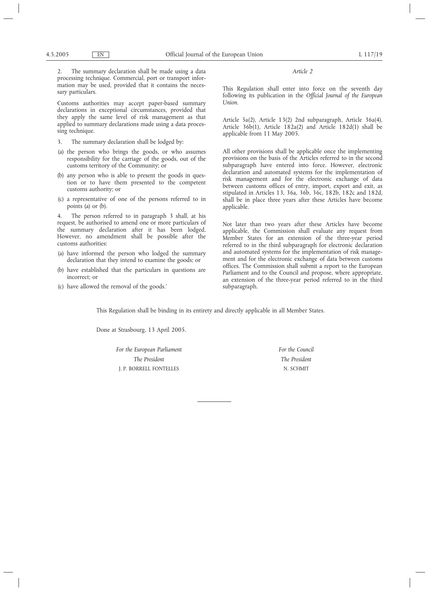sary particulars.

sing technique.

*Article 2*

processing technique. Commercial, port or transport information may be used, provided that it contains the neces-Customs authorities may accept paper-based summary This Regulation shall enter into force on the seventh day following its publication in the *Official Journal of the European Union*.

> Article 5a(2), Article 13(2) 2nd subparagraph, Article 36a(4), Article 36b(1), Article 182a(2) and Article 182d(1) shall be applicable from 11 May 2005.

> All other provisions shall be applicable once the implementing provisions on the basis of the Articles referred to in the second subparagraph have entered into force. However, electronic declaration and automated systems for the implementation of risk management and for the electronic exchange of data between customs offices of entry, import, export and exit, as stipulated in Articles 13, 36a, 36b, 36c, 182b, 182c and 182d, shall be in place three years after these Articles have become applicable.

> Not later than two years after these Articles have become applicable, the Commission shall evaluate any request from Member States for an extension of the three-year period referred to in the third subparagraph for electronic declaration and automated systems for the implementation of risk management and for the electronic exchange of data between customs offices. The Commission shall submit a report to the European Parliament and to the Council and propose, where appropriate, an extension of the three-year period referred to in the third subparagraph.

This Regulation shall be binding in its entirety and directly applicable in all Member States.

Done at Strasbourg, 13 April 2005.

2. The summary declaration shall be made using a data

declarations in exceptional circumstances, provided that they apply the same level of risk management as that applied to summary declarations made using a data proces-

(a) the person who brings the goods, or who assumes responsibility for the carriage of the goods, out of the

(b) any person who is able to present the goods in question or to have them presented to the competent

(c) a representative of one of the persons referred to in

4. The person referred to in paragraph 3 shall, at his request, be authorised to amend one or more particulars of the summary declaration after it has been lodged. However, no amendment shall be possible after the

(a) have informed the person who lodged the summary declaration that they intend to examine the goods; or (b) have established that the particulars in questions are

(c) have allowed the removal of the goods.'

3. The summary declaration shall be lodged by:

customs territory of the Community; or

customs authority; or

points (a) or (b).

customs authorities:

incorrect; or

*For the European Parliament The President* J. P. BORRELL FONTELLES

*For the Council The President* N. SCHMIT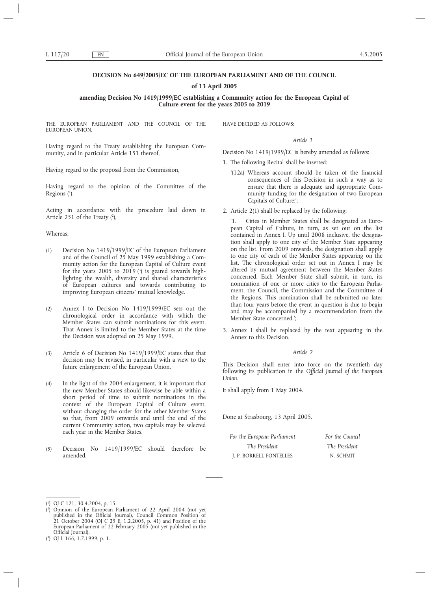# **DECISION No 649/2005/EC OF THE EUROPEAN PARLIAMENT AND OF THE COUNCIL**

# **of 13 April 2005**

**amending Decision No 1419/1999/EC establishing a Community action for the European Capital of Culture event for the years 2005 to 2019**

THE EUROPEAN PARLIAMENT AND THE COUNCIL OF THE EUROPEAN UNION,

Having regard to the Treaty establishing the European Community, and in particular Article 151 thereof,

Having regard to the proposal from the Commission,

Having regard to the opinion of the Committee of the Regions (1),

Acting in accordance with the procedure laid down in Article 251 of the Treaty (2),

### Whereas:

- (1) Decision No 1419/1999/EC of the European Parliament and of the Council of 25 May 1999 establishing a Community action for the European Capital of Culture event for the years  $2005$  to  $2019$  ( $3$ ) is geared towards highlighting the wealth, diversity and shared characteristics of European cultures and towards contributing to improving European citizens' mutual knowledge.
- (2) Annex I to Decision No 1419/1999/EC sets out the chronological order in accordance with which the Member States can submit nominations for this event. That Annex is limited to the Member States at the time the Decision was adopted on 25 May 1999.
- (3) Article 6 of Decision No 1419/1999/EC states that that decision may be revised, in particular with a view to the future enlargement of the European Union.
- (4) In the light of the 2004 enlargement, it is important that the new Member States should likewise be able within a short period of time to submit nominations in the context of the European Capital of Culture event, without changing the order for the other Member States so that, from 2009 onwards and until the end of the current Community action, two capitals may be selected each year in the Member States.
- (5) Decision No 1419/1999/EC should therefore be amended,

HAVE DECIDED AS FOLLOWS:

### *Article 1*

Decision No 1419/1999/EC is hereby amended as follows:

- 1. The following Recital shall be inserted:
	- '(12a) Whereas account should be taken of the financial consequences of this Decision in such a way as to ensure that there is adequate and appropriate Community funding for the designation of two European Capitals of Culture;';
- 2. Article 2(1) shall be replaced by the following:

Cities in Member States shall be designated as European Capital of Culture, in turn, as set out on the list contained in Annex I. Up until 2008 inclusive, the designation shall apply to one city of the Member State appearing on the list. From 2009 onwards, the designation shall apply to one city of each of the Member States appearing on the list. The chronological order set out in Annex I may be altered by mutual agreement between the Member States concerned. Each Member State shall submit, in turn, its nomination of one or more cities to the European Parliament, the Council, the Commission and the Committee of the Regions. This nomination shall be submitted no later than four years before the event in question is due to begin and may be accompanied by a recommendation from the Member State concerned.';

3. Annex I shall be replaced by the text appearing in the Annex to this Decision.

# *Article 2*

This Decision shall enter into force on the twentieth day following its publication in the *Official Journal of the European Union*.

It shall apply from 1 May 2004.

Done at Strasbourg, 13 April 2005.

| For the European Parliament | For the Council |
|-----------------------------|-----------------|
| The President               | The President   |
| J. P. BORRELL FONTELLES     | N. SCHMIT       |

<sup>(</sup> 1 ) OJ C 121, 30.4.2004, p. 15.

<sup>(</sup> 2 ) Opinion of the European Parliament of 22 April 2004 (not yet published in the Official Journal), Council Common Position of 21 October 2004 (OJ C 25 E, 1.2.2005, p. 41) and Position of the European Parliament of 22 February 2005 (not yet published in the Official Journal).

<sup>(</sup> 3 ) OJ L 166, 1.7.1999, p. 1.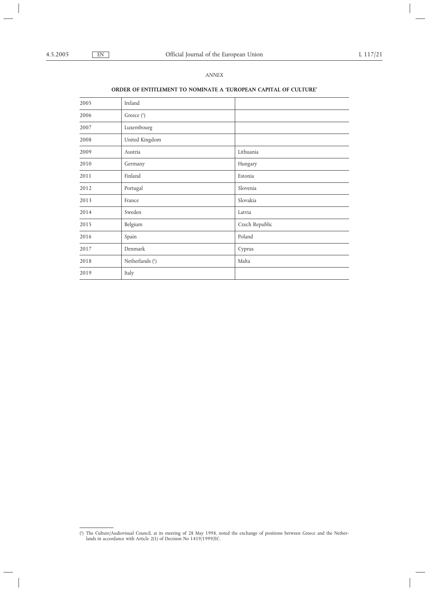# *ANNEX*

# **ORDER OF ENTITLEMENT TO NOMINATE A 'EUROPEAN CAPITAL OF CULTURE'**

| 2005 | Ireland         |                |
|------|-----------------|----------------|
| 2006 | Greece (1)      |                |
| 2007 | Luxembourg      |                |
| 2008 | United Kingdom  |                |
| 2009 | Austria         | Lithuania      |
| 2010 | Germany         | Hungary        |
| 2011 | Finland         | Estonia        |
| 2012 | Portugal        | Slovenia       |
| 2013 | France          | Slovakia       |
| 2014 | Sweden          | Latvia         |
| 2015 | Belgium         | Czech Republic |
| 2016 | Spain           | Poland         |
| 2017 | Denmark         | Cyprus         |
| 2018 | Netherlands (1) | Malta          |
| 2019 | Italy           |                |
|      |                 |                |

<sup>(</sup> 1 ) The Culture/Audiovisual Council, at its meeting of 28 May 1998, noted the exchange of positions between Greece and the Netherlands in accordance with Article 2(1) of Decision No 1419/1999/EC.